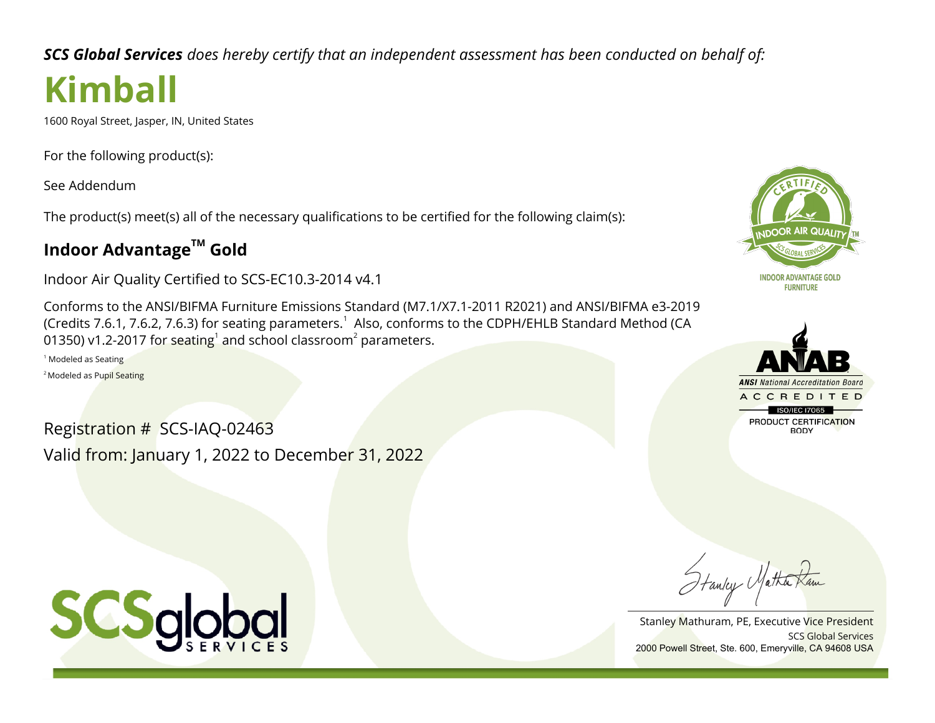*SCS Global Services does hereby certify that an independent assessment has been conducted on behalf of:*

# **Kimball**

1600 Royal Street, Jasper, IN, United States

For the following product(s):

See Addendum

The product(s) meet(s) all of the necessary qualifications to be certified for the following claim(s):

## **Indoor AdvantageTM Gold**

Indoor Air Quality Certified to SCS-EC10.3-2014 v4.1

Conforms to the ANSI/BIFMA Furniture Emissions Standard (M7.1/X7.1-2011 R2021) and ANSI/BIFMA e3-2019 (Credits 7.6.1, 7.6.2, 7.6.3) for seating parameters. $^1\,$  Also, conforms to the CDPH/EHLB Standard Method (CA 01350) v1.2-2017 for seating $^1$  and school classroom $^2$  parameters.

1 Modeled as Seating

<sup>2</sup> Modeled as Pupil Seating

Registration # SCS-IAQ-02463 Valid from: January 1, 2022 to December 31, 2022





Hanley Matha

SCS Global Services Stanley Mathuram, PE, Executive Vice President 2000 Powell Street, Ste. 600, Emeryville, CA 94608 USA